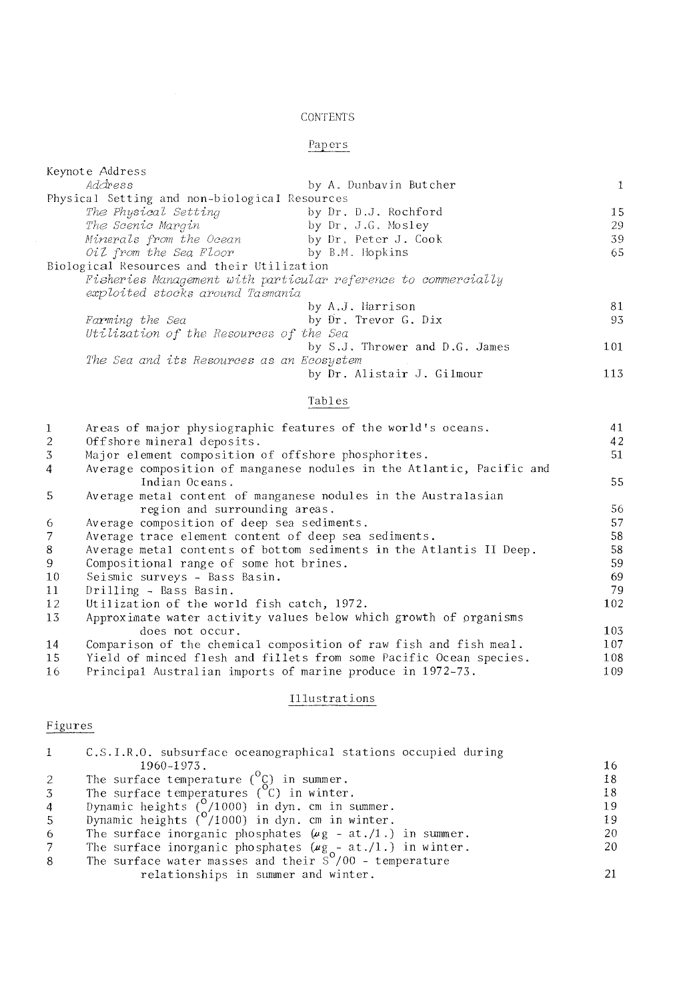### CONTENTS

# Papers

| Keynote Address                                                |                                |              |
|----------------------------------------------------------------|--------------------------------|--------------|
| Address                                                        | by A. Dunbavin Butcher         | $\mathbf{1}$ |
| Physical Setting and non-biological Resources                  |                                |              |
| The Physical Setting                                           | by Dr. D.J. Rochford           | 15           |
| The Scenic Margin                                              | by Dr. J.G. Mosley             | 29           |
| Minerals from the Ocean                                        | by Dr. Peter J. Cook           | 39           |
| Oil from the Sea Floor                                         | by B.M. Hopkins                | 65           |
| Biological Resources and their Utilization                     |                                |              |
| Fisheries Management with particular reference to commercially |                                |              |
| exploited stocks around Tasmania                               |                                |              |
|                                                                | by A.J. Harrison               | 81           |
| Farming the Sea                                                | by Dr. Trevor G. Dix           | 93           |
| Utilization of the Resources of the Sea                        |                                |              |
|                                                                | by S.J. Thrower and D.G. James | 101          |
| The Sea and its Resources as an Ecosystem                      |                                |              |
|                                                                | by Dr. Alistair J. Gilmour     | 113          |
|                                                                |                                |              |

#### Tables

| 1  | Areas of major physiographic features of the world's oceans.          | 41  |
|----|-----------------------------------------------------------------------|-----|
| 2  | Offshore mineral deposits.                                            | 42  |
| 3  | Major element composition of offshore phosphorites.                   | 51  |
| 4  | Average composition of manganese nodules in the Atlantic, Pacific and |     |
|    | Indian Oceans.                                                        | 55  |
| .5 | Average metal content of manganese nodules in the Australasian        |     |
|    | region and surrounding areas.                                         | 56  |
| -6 | Average composition of deep sea sediments.                            | 57  |
| 7  | Average trace element content of deep sea sediments.                  | 58  |
| 8  | Average metal contents of bottom sediments in the Atlantis II Deep.   | 58  |
| 9  | Compositional range of some hot brines.                               | 59  |
| 10 | Seismic surveys - Bass Basin.                                         | 69  |
| 11 | Drilling - Bass Basin.                                                | 79  |
| 12 | Utilization of the world fish catch, 1972.                            | 102 |
| 13 | Approximate water activity values below which growth of organisms     |     |
|    | does not occur.                                                       | 103 |
| 14 | Comparison of the chemical composition of raw fish and fish meal.     | 107 |
| 15 | Yield of minced flesh and fillets from some Pacific Ocean species.    | 108 |
| 16 | Principal Australian imports of marine produce in 1972-73.            | 109 |

# Illustrations

# Figures

| $\mathbf{1}$   | C.S.I.R.O. subsurface oceanographical stations occupied during     |    |
|----------------|--------------------------------------------------------------------|----|
|                | 1960-1973.                                                         | 16 |
| 2              | The surface temperature $\binom{0}{x}$ in summer.                  | 18 |
| $\overline{3}$ | The surface temperatures $(°C)$ in winter.                         | 18 |
| $\overline{4}$ | Dynamic heights $\binom{0}{0}$ /1000) in dyn. cm in summer.        | 19 |
| 5 <sup>5</sup> | Dynamic heights $(^0/1000)$ in dyn. cm in winter.                  | 19 |
| -6             | The surface inorganic phosphates $(\mu g - at./1.)$ in summer.     | 20 |
| 7              | The surface inorganic phosphates $(\mu g_{0} - at./1.)$ in winter. | 20 |
| 8              | The surface water masses and their $S''/00$ - temperature          |    |
|                | relationships in summer and winter.                                | 21 |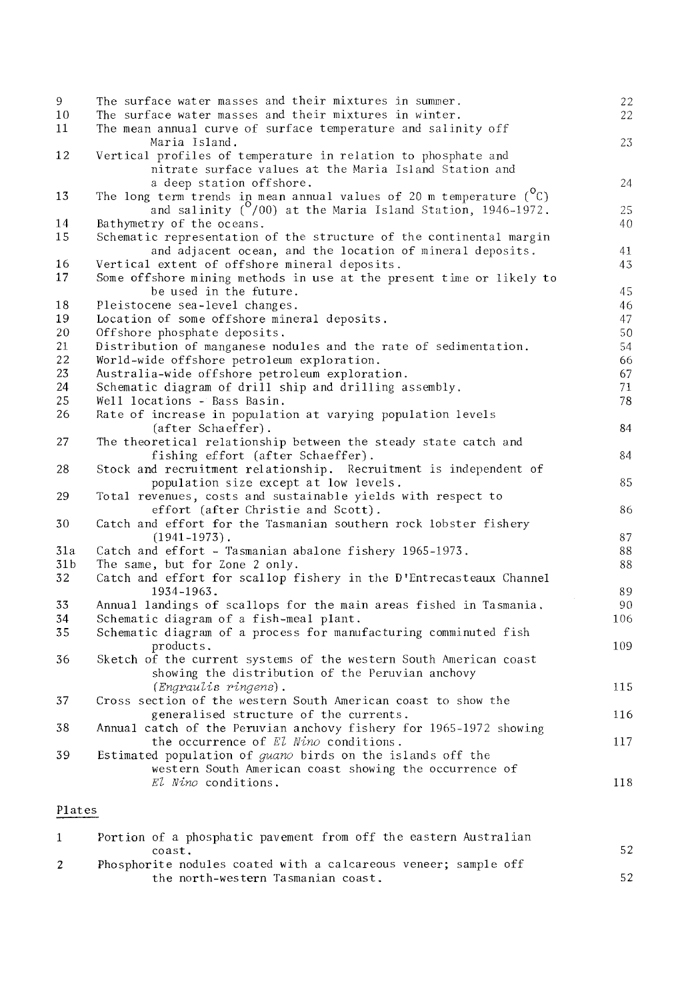| The surface water masses and their mixtures in summer.            | 22<br>22                                                                                                                                                                                                                                                                                                                                                                                                                                                                                                                                                                                                                                                                                                                                                                                                                                                                                                                                                                                                                                                                                                                                                                                                                                                                                                                                                                                                                                                                                                                                                                                                                                                                                                                                                                                                                                                                                                                                                                                                                                                                                                                                                                 |
|-------------------------------------------------------------------|--------------------------------------------------------------------------------------------------------------------------------------------------------------------------------------------------------------------------------------------------------------------------------------------------------------------------------------------------------------------------------------------------------------------------------------------------------------------------------------------------------------------------------------------------------------------------------------------------------------------------------------------------------------------------------------------------------------------------------------------------------------------------------------------------------------------------------------------------------------------------------------------------------------------------------------------------------------------------------------------------------------------------------------------------------------------------------------------------------------------------------------------------------------------------------------------------------------------------------------------------------------------------------------------------------------------------------------------------------------------------------------------------------------------------------------------------------------------------------------------------------------------------------------------------------------------------------------------------------------------------------------------------------------------------------------------------------------------------------------------------------------------------------------------------------------------------------------------------------------------------------------------------------------------------------------------------------------------------------------------------------------------------------------------------------------------------------------------------------------------------------------------------------------------------|
| The mean annual curve of surface temperature and salinity off     |                                                                                                                                                                                                                                                                                                                                                                                                                                                                                                                                                                                                                                                                                                                                                                                                                                                                                                                                                                                                                                                                                                                                                                                                                                                                                                                                                                                                                                                                                                                                                                                                                                                                                                                                                                                                                                                                                                                                                                                                                                                                                                                                                                          |
|                                                                   | 23                                                                                                                                                                                                                                                                                                                                                                                                                                                                                                                                                                                                                                                                                                                                                                                                                                                                                                                                                                                                                                                                                                                                                                                                                                                                                                                                                                                                                                                                                                                                                                                                                                                                                                                                                                                                                                                                                                                                                                                                                                                                                                                                                                       |
|                                                                   |                                                                                                                                                                                                                                                                                                                                                                                                                                                                                                                                                                                                                                                                                                                                                                                                                                                                                                                                                                                                                                                                                                                                                                                                                                                                                                                                                                                                                                                                                                                                                                                                                                                                                                                                                                                                                                                                                                                                                                                                                                                                                                                                                                          |
|                                                                   | 24                                                                                                                                                                                                                                                                                                                                                                                                                                                                                                                                                                                                                                                                                                                                                                                                                                                                                                                                                                                                                                                                                                                                                                                                                                                                                                                                                                                                                                                                                                                                                                                                                                                                                                                                                                                                                                                                                                                                                                                                                                                                                                                                                                       |
|                                                                   |                                                                                                                                                                                                                                                                                                                                                                                                                                                                                                                                                                                                                                                                                                                                                                                                                                                                                                                                                                                                                                                                                                                                                                                                                                                                                                                                                                                                                                                                                                                                                                                                                                                                                                                                                                                                                                                                                                                                                                                                                                                                                                                                                                          |
|                                                                   | 25                                                                                                                                                                                                                                                                                                                                                                                                                                                                                                                                                                                                                                                                                                                                                                                                                                                                                                                                                                                                                                                                                                                                                                                                                                                                                                                                                                                                                                                                                                                                                                                                                                                                                                                                                                                                                                                                                                                                                                                                                                                                                                                                                                       |
|                                                                   | 40                                                                                                                                                                                                                                                                                                                                                                                                                                                                                                                                                                                                                                                                                                                                                                                                                                                                                                                                                                                                                                                                                                                                                                                                                                                                                                                                                                                                                                                                                                                                                                                                                                                                                                                                                                                                                                                                                                                                                                                                                                                                                                                                                                       |
|                                                                   |                                                                                                                                                                                                                                                                                                                                                                                                                                                                                                                                                                                                                                                                                                                                                                                                                                                                                                                                                                                                                                                                                                                                                                                                                                                                                                                                                                                                                                                                                                                                                                                                                                                                                                                                                                                                                                                                                                                                                                                                                                                                                                                                                                          |
|                                                                   | 41                                                                                                                                                                                                                                                                                                                                                                                                                                                                                                                                                                                                                                                                                                                                                                                                                                                                                                                                                                                                                                                                                                                                                                                                                                                                                                                                                                                                                                                                                                                                                                                                                                                                                                                                                                                                                                                                                                                                                                                                                                                                                                                                                                       |
|                                                                   | 43                                                                                                                                                                                                                                                                                                                                                                                                                                                                                                                                                                                                                                                                                                                                                                                                                                                                                                                                                                                                                                                                                                                                                                                                                                                                                                                                                                                                                                                                                                                                                                                                                                                                                                                                                                                                                                                                                                                                                                                                                                                                                                                                                                       |
|                                                                   |                                                                                                                                                                                                                                                                                                                                                                                                                                                                                                                                                                                                                                                                                                                                                                                                                                                                                                                                                                                                                                                                                                                                                                                                                                                                                                                                                                                                                                                                                                                                                                                                                                                                                                                                                                                                                                                                                                                                                                                                                                                                                                                                                                          |
| be used in the future.                                            | 45                                                                                                                                                                                                                                                                                                                                                                                                                                                                                                                                                                                                                                                                                                                                                                                                                                                                                                                                                                                                                                                                                                                                                                                                                                                                                                                                                                                                                                                                                                                                                                                                                                                                                                                                                                                                                                                                                                                                                                                                                                                                                                                                                                       |
| Pleistocene sea-level changes.                                    | 46                                                                                                                                                                                                                                                                                                                                                                                                                                                                                                                                                                                                                                                                                                                                                                                                                                                                                                                                                                                                                                                                                                                                                                                                                                                                                                                                                                                                                                                                                                                                                                                                                                                                                                                                                                                                                                                                                                                                                                                                                                                                                                                                                                       |
|                                                                   | 47                                                                                                                                                                                                                                                                                                                                                                                                                                                                                                                                                                                                                                                                                                                                                                                                                                                                                                                                                                                                                                                                                                                                                                                                                                                                                                                                                                                                                                                                                                                                                                                                                                                                                                                                                                                                                                                                                                                                                                                                                                                                                                                                                                       |
| Offshore phosphate deposits.                                      | 50                                                                                                                                                                                                                                                                                                                                                                                                                                                                                                                                                                                                                                                                                                                                                                                                                                                                                                                                                                                                                                                                                                                                                                                                                                                                                                                                                                                                                                                                                                                                                                                                                                                                                                                                                                                                                                                                                                                                                                                                                                                                                                                                                                       |
| Distribution of manganese nodules and the rate of sedimentation.  | 54                                                                                                                                                                                                                                                                                                                                                                                                                                                                                                                                                                                                                                                                                                                                                                                                                                                                                                                                                                                                                                                                                                                                                                                                                                                                                                                                                                                                                                                                                                                                                                                                                                                                                                                                                                                                                                                                                                                                                                                                                                                                                                                                                                       |
|                                                                   | 66                                                                                                                                                                                                                                                                                                                                                                                                                                                                                                                                                                                                                                                                                                                                                                                                                                                                                                                                                                                                                                                                                                                                                                                                                                                                                                                                                                                                                                                                                                                                                                                                                                                                                                                                                                                                                                                                                                                                                                                                                                                                                                                                                                       |
| Australia-wide offshore petroleum exploration.                    | 67                                                                                                                                                                                                                                                                                                                                                                                                                                                                                                                                                                                                                                                                                                                                                                                                                                                                                                                                                                                                                                                                                                                                                                                                                                                                                                                                                                                                                                                                                                                                                                                                                                                                                                                                                                                                                                                                                                                                                                                                                                                                                                                                                                       |
|                                                                   | 71                                                                                                                                                                                                                                                                                                                                                                                                                                                                                                                                                                                                                                                                                                                                                                                                                                                                                                                                                                                                                                                                                                                                                                                                                                                                                                                                                                                                                                                                                                                                                                                                                                                                                                                                                                                                                                                                                                                                                                                                                                                                                                                                                                       |
|                                                                   | $78\,$                                                                                                                                                                                                                                                                                                                                                                                                                                                                                                                                                                                                                                                                                                                                                                                                                                                                                                                                                                                                                                                                                                                                                                                                                                                                                                                                                                                                                                                                                                                                                                                                                                                                                                                                                                                                                                                                                                                                                                                                                                                                                                                                                                   |
|                                                                   |                                                                                                                                                                                                                                                                                                                                                                                                                                                                                                                                                                                                                                                                                                                                                                                                                                                                                                                                                                                                                                                                                                                                                                                                                                                                                                                                                                                                                                                                                                                                                                                                                                                                                                                                                                                                                                                                                                                                                                                                                                                                                                                                                                          |
|                                                                   | 84                                                                                                                                                                                                                                                                                                                                                                                                                                                                                                                                                                                                                                                                                                                                                                                                                                                                                                                                                                                                                                                                                                                                                                                                                                                                                                                                                                                                                                                                                                                                                                                                                                                                                                                                                                                                                                                                                                                                                                                                                                                                                                                                                                       |
|                                                                   |                                                                                                                                                                                                                                                                                                                                                                                                                                                                                                                                                                                                                                                                                                                                                                                                                                                                                                                                                                                                                                                                                                                                                                                                                                                                                                                                                                                                                                                                                                                                                                                                                                                                                                                                                                                                                                                                                                                                                                                                                                                                                                                                                                          |
|                                                                   | 84                                                                                                                                                                                                                                                                                                                                                                                                                                                                                                                                                                                                                                                                                                                                                                                                                                                                                                                                                                                                                                                                                                                                                                                                                                                                                                                                                                                                                                                                                                                                                                                                                                                                                                                                                                                                                                                                                                                                                                                                                                                                                                                                                                       |
|                                                                   | 85                                                                                                                                                                                                                                                                                                                                                                                                                                                                                                                                                                                                                                                                                                                                                                                                                                                                                                                                                                                                                                                                                                                                                                                                                                                                                                                                                                                                                                                                                                                                                                                                                                                                                                                                                                                                                                                                                                                                                                                                                                                                                                                                                                       |
|                                                                   |                                                                                                                                                                                                                                                                                                                                                                                                                                                                                                                                                                                                                                                                                                                                                                                                                                                                                                                                                                                                                                                                                                                                                                                                                                                                                                                                                                                                                                                                                                                                                                                                                                                                                                                                                                                                                                                                                                                                                                                                                                                                                                                                                                          |
|                                                                   | 86                                                                                                                                                                                                                                                                                                                                                                                                                                                                                                                                                                                                                                                                                                                                                                                                                                                                                                                                                                                                                                                                                                                                                                                                                                                                                                                                                                                                                                                                                                                                                                                                                                                                                                                                                                                                                                                                                                                                                                                                                                                                                                                                                                       |
|                                                                   |                                                                                                                                                                                                                                                                                                                                                                                                                                                                                                                                                                                                                                                                                                                                                                                                                                                                                                                                                                                                                                                                                                                                                                                                                                                                                                                                                                                                                                                                                                                                                                                                                                                                                                                                                                                                                                                                                                                                                                                                                                                                                                                                                                          |
|                                                                   | 87                                                                                                                                                                                                                                                                                                                                                                                                                                                                                                                                                                                                                                                                                                                                                                                                                                                                                                                                                                                                                                                                                                                                                                                                                                                                                                                                                                                                                                                                                                                                                                                                                                                                                                                                                                                                                                                                                                                                                                                                                                                                                                                                                                       |
|                                                                   | 88                                                                                                                                                                                                                                                                                                                                                                                                                                                                                                                                                                                                                                                                                                                                                                                                                                                                                                                                                                                                                                                                                                                                                                                                                                                                                                                                                                                                                                                                                                                                                                                                                                                                                                                                                                                                                                                                                                                                                                                                                                                                                                                                                                       |
|                                                                   | 88                                                                                                                                                                                                                                                                                                                                                                                                                                                                                                                                                                                                                                                                                                                                                                                                                                                                                                                                                                                                                                                                                                                                                                                                                                                                                                                                                                                                                                                                                                                                                                                                                                                                                                                                                                                                                                                                                                                                                                                                                                                                                                                                                                       |
|                                                                   |                                                                                                                                                                                                                                                                                                                                                                                                                                                                                                                                                                                                                                                                                                                                                                                                                                                                                                                                                                                                                                                                                                                                                                                                                                                                                                                                                                                                                                                                                                                                                                                                                                                                                                                                                                                                                                                                                                                                                                                                                                                                                                                                                                          |
|                                                                   | 89                                                                                                                                                                                                                                                                                                                                                                                                                                                                                                                                                                                                                                                                                                                                                                                                                                                                                                                                                                                                                                                                                                                                                                                                                                                                                                                                                                                                                                                                                                                                                                                                                                                                                                                                                                                                                                                                                                                                                                                                                                                                                                                                                                       |
|                                                                   | 90                                                                                                                                                                                                                                                                                                                                                                                                                                                                                                                                                                                                                                                                                                                                                                                                                                                                                                                                                                                                                                                                                                                                                                                                                                                                                                                                                                                                                                                                                                                                                                                                                                                                                                                                                                                                                                                                                                                                                                                                                                                                                                                                                                       |
|                                                                   | 106                                                                                                                                                                                                                                                                                                                                                                                                                                                                                                                                                                                                                                                                                                                                                                                                                                                                                                                                                                                                                                                                                                                                                                                                                                                                                                                                                                                                                                                                                                                                                                                                                                                                                                                                                                                                                                                                                                                                                                                                                                                                                                                                                                      |
|                                                                   |                                                                                                                                                                                                                                                                                                                                                                                                                                                                                                                                                                                                                                                                                                                                                                                                                                                                                                                                                                                                                                                                                                                                                                                                                                                                                                                                                                                                                                                                                                                                                                                                                                                                                                                                                                                                                                                                                                                                                                                                                                                                                                                                                                          |
| products.                                                         | 109                                                                                                                                                                                                                                                                                                                                                                                                                                                                                                                                                                                                                                                                                                                                                                                                                                                                                                                                                                                                                                                                                                                                                                                                                                                                                                                                                                                                                                                                                                                                                                                                                                                                                                                                                                                                                                                                                                                                                                                                                                                                                                                                                                      |
| Sketch of the current systems of the western South American coast |                                                                                                                                                                                                                                                                                                                                                                                                                                                                                                                                                                                                                                                                                                                                                                                                                                                                                                                                                                                                                                                                                                                                                                                                                                                                                                                                                                                                                                                                                                                                                                                                                                                                                                                                                                                                                                                                                                                                                                                                                                                                                                                                                                          |
| showing the distribution of the Peruvian anchovy                  |                                                                                                                                                                                                                                                                                                                                                                                                                                                                                                                                                                                                                                                                                                                                                                                                                                                                                                                                                                                                                                                                                                                                                                                                                                                                                                                                                                                                                                                                                                                                                                                                                                                                                                                                                                                                                                                                                                                                                                                                                                                                                                                                                                          |
|                                                                   | 115                                                                                                                                                                                                                                                                                                                                                                                                                                                                                                                                                                                                                                                                                                                                                                                                                                                                                                                                                                                                                                                                                                                                                                                                                                                                                                                                                                                                                                                                                                                                                                                                                                                                                                                                                                                                                                                                                                                                                                                                                                                                                                                                                                      |
|                                                                   |                                                                                                                                                                                                                                                                                                                                                                                                                                                                                                                                                                                                                                                                                                                                                                                                                                                                                                                                                                                                                                                                                                                                                                                                                                                                                                                                                                                                                                                                                                                                                                                                                                                                                                                                                                                                                                                                                                                                                                                                                                                                                                                                                                          |
|                                                                   | 116                                                                                                                                                                                                                                                                                                                                                                                                                                                                                                                                                                                                                                                                                                                                                                                                                                                                                                                                                                                                                                                                                                                                                                                                                                                                                                                                                                                                                                                                                                                                                                                                                                                                                                                                                                                                                                                                                                                                                                                                                                                                                                                                                                      |
|                                                                   |                                                                                                                                                                                                                                                                                                                                                                                                                                                                                                                                                                                                                                                                                                                                                                                                                                                                                                                                                                                                                                                                                                                                                                                                                                                                                                                                                                                                                                                                                                                                                                                                                                                                                                                                                                                                                                                                                                                                                                                                                                                                                                                                                                          |
|                                                                   | 117                                                                                                                                                                                                                                                                                                                                                                                                                                                                                                                                                                                                                                                                                                                                                                                                                                                                                                                                                                                                                                                                                                                                                                                                                                                                                                                                                                                                                                                                                                                                                                                                                                                                                                                                                                                                                                                                                                                                                                                                                                                                                                                                                                      |
|                                                                   |                                                                                                                                                                                                                                                                                                                                                                                                                                                                                                                                                                                                                                                                                                                                                                                                                                                                                                                                                                                                                                                                                                                                                                                                                                                                                                                                                                                                                                                                                                                                                                                                                                                                                                                                                                                                                                                                                                                                                                                                                                                                                                                                                                          |
|                                                                   |                                                                                                                                                                                                                                                                                                                                                                                                                                                                                                                                                                                                                                                                                                                                                                                                                                                                                                                                                                                                                                                                                                                                                                                                                                                                                                                                                                                                                                                                                                                                                                                                                                                                                                                                                                                                                                                                                                                                                                                                                                                                                                                                                                          |
|                                                                   | 118                                                                                                                                                                                                                                                                                                                                                                                                                                                                                                                                                                                                                                                                                                                                                                                                                                                                                                                                                                                                                                                                                                                                                                                                                                                                                                                                                                                                                                                                                                                                                                                                                                                                                                                                                                                                                                                                                                                                                                                                                                                                                                                                                                      |
|                                                                   |                                                                                                                                                                                                                                                                                                                                                                                                                                                                                                                                                                                                                                                                                                                                                                                                                                                                                                                                                                                                                                                                                                                                                                                                                                                                                                                                                                                                                                                                                                                                                                                                                                                                                                                                                                                                                                                                                                                                                                                                                                                                                                                                                                          |
|                                                                   |                                                                                                                                                                                                                                                                                                                                                                                                                                                                                                                                                                                                                                                                                                                                                                                                                                                                                                                                                                                                                                                                                                                                                                                                                                                                                                                                                                                                                                                                                                                                                                                                                                                                                                                                                                                                                                                                                                                                                                                                                                                                                                                                                                          |
| Portion of a phosphatic payement from off the eastern Australian  |                                                                                                                                                                                                                                                                                                                                                                                                                                                                                                                                                                                                                                                                                                                                                                                                                                                                                                                                                                                                                                                                                                                                                                                                                                                                                                                                                                                                                                                                                                                                                                                                                                                                                                                                                                                                                                                                                                                                                                                                                                                                                                                                                                          |
|                                                                   | The surface water masses and their mixtures in winter.<br>Maria Island.<br>Vertical profiles of temperature in relation to phosphate and<br>nitrate surface values at the Maria Island Station and<br>a deep station offshore.<br>The long term trends in mean annual values of 20 m temperature $\binom{O}{C}$ and salinity $\binom{O}{00}$ at the Maria Island Station, 1946-1972.<br>Bathymetry of the oceans.<br>Schematic representation of the structure of the continental margin<br>and adjacent ocean, and the location of mineral deposits.<br>Vertical extent of offshore mineral deposits.<br>Some offshore mining methods in use at the present time or likely to<br>Location of some offshore mineral deposits.<br>World-wide offshore petroleum exploration.<br>Schematic diagram of drill ship and drilling assembly.<br>Well locations - Bass Basin.<br>Rate of increase in population at varying population levels<br>(after Schaeffer).<br>The theoretical relationship between the steady state catch and<br>fishing effort (after Schaeffer).<br>Stock and recruitment relationship. Recruitment is independent of<br>population size except at low levels.<br>Total revenues, costs and sustainable yields with respect to<br>effort (after Christie and Scott).<br>Catch and effort for the Tasmanian southern rock lobster fishery<br>$(1941 - 1973)$ .<br>Catch and effort - Tasmanian abalone fishery 1965-1973.<br>The same, but for Zone 2 only.<br>Catch and effort for scallop fishery in the D'Entrecasteaux Channel<br>1934-1963.<br>Annual landings of scallops for the main areas fished in Tasmania.<br>Schematic diagram of a fish-meal plant.<br>Schematic diagram of a process for manufacturing comminuted fish<br>(Engraulis ringens).<br>Cross section of the western South American coast to show the<br>generalised structure of the currents.<br>Annual catch of the Peruvian anchovy fishery for 1965-1972 showing<br>the occurrence of El Nino conditions.<br>Estimated population of <i>quano</i> birds on the islands off the<br>western South American coast showing the occurrence of<br>El Nino conditions.<br>Plates |

| Portion of a phosphatic pavement from off the eastern Australian |    |
|------------------------------------------------------------------|----|
| coast.                                                           | 52 |
| Phosphorite nodules coated with a calcareous veneer; sample off  |    |
| the north-western Tasmanian coast,                               | 52 |